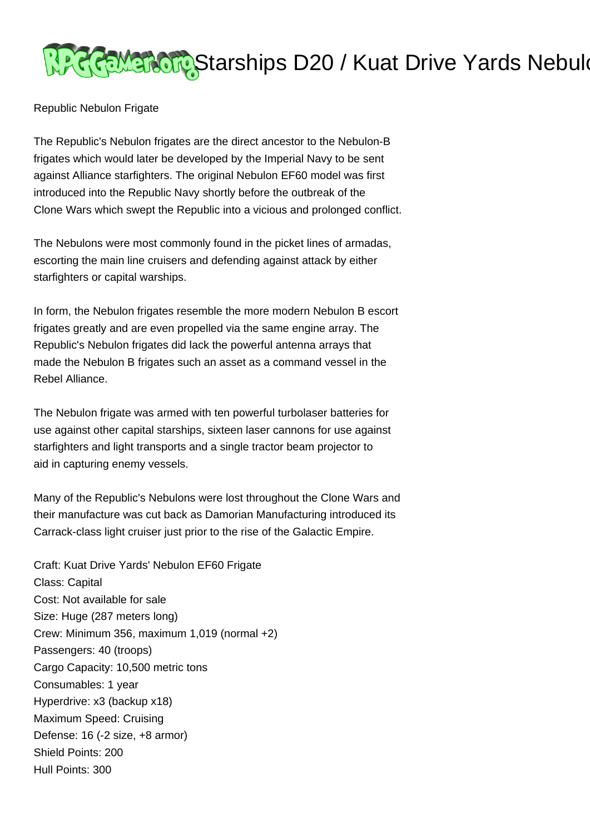## Piccamatory Starships D20 / Kuat Drive Yards Nebulo

Republic Nebulon Frigate

The Republic's Nebulon frigates are the direct ancestor to the Nebulon-B frigates which would later be developed by the Imperial Navy to be sent against Alliance starfighters. The original Nebulon EF60 model was first introduced into the Republic Navy shortly before the outbreak of the Clone Wars which swept the Republic into a vicious and prolonged conflict.

The Nebulons were most commonly found in the picket lines of armadas, escorting the main line cruisers and defending against attack by either starfighters or capital warships.

In form, the Nebulon frigates resemble the more modern Nebulon B escort frigates greatly and are even propelled via the same engine array. The Republic's Nebulon frigates did lack the powerful antenna arrays that made the Nebulon B frigates such an asset as a command vessel in the Rebel Alliance.

The Nebulon frigate was armed with ten powerful turbolaser batteries for use against other capital starships, sixteen laser cannons for use against starfighters and light transports and a single tractor beam projector to aid in capturing enemy vessels.

Many of the Republic's Nebulons were lost throughout the Clone Wars and their manufacture was cut back as Damorian Manufacturing introduced its Carrack-class light cruiser just prior to the rise of the Galactic Empire.

Craft: Kuat Drive Yards' Nebulon EF60 Frigate Class: Capital Cost: Not available for sale Size: Huge (287 meters long) Crew: Minimum 356, maximum 1,019 (normal +2) Passengers: 40 (troops) Cargo Capacity: 10,500 metric tons Consumables: 1 year Hyperdrive: x3 (backup x18) Maximum Speed: Cruising Defense: 16 (-2 size, +8 armor) Shield Points: 200 Hull Points: 300